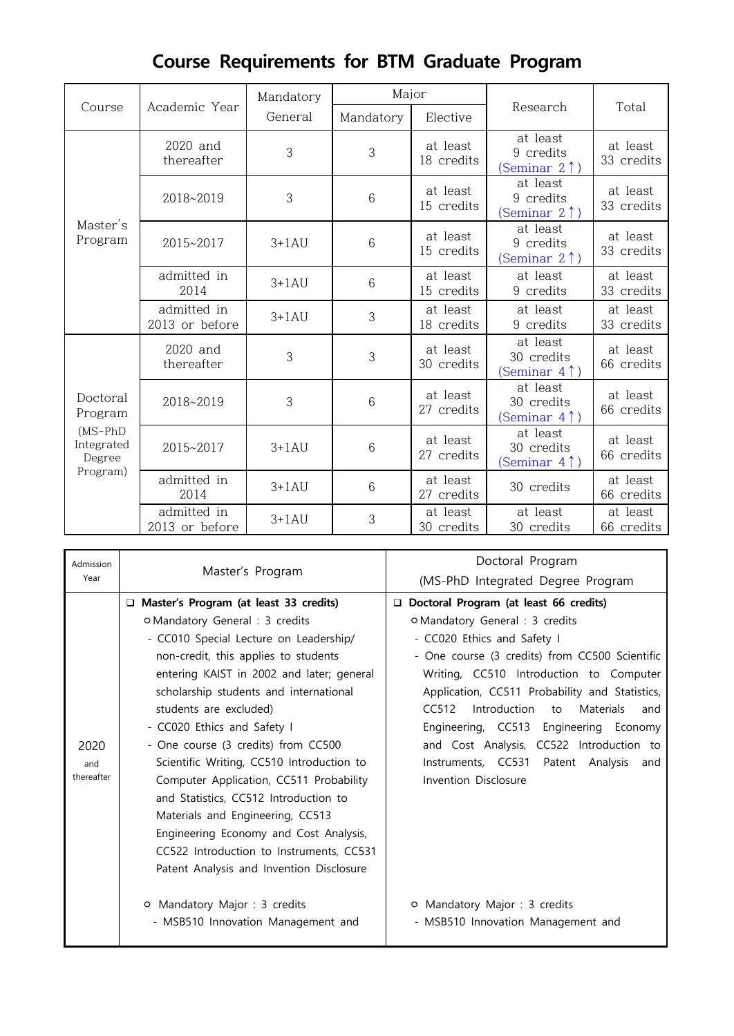|                                                                       |                               | Mandatory | Major     |                        |                                                     |                        |  |
|-----------------------------------------------------------------------|-------------------------------|-----------|-----------|------------------------|-----------------------------------------------------|------------------------|--|
| Course                                                                | Academic Year                 | General   | Mandatory | Elective               | Research                                            | Total                  |  |
| Master's<br>Program                                                   | 2020 and<br>thereafter        | 3         | 3         | at least<br>18 credits | at least<br>9 credits<br>(Seminar $2 \uparrow$ )    | at least<br>33 credits |  |
|                                                                       | 2018~2019                     | 3         | 6         | at least<br>15 credits | at least<br>9 credits<br>(Seminar 2↑)               | at least<br>33 credits |  |
|                                                                       | 2015~2017                     | $3+1AU$   | 6         | at least<br>15 credits | at least<br>9 credits<br>(Seminar 2↑)               | at least<br>33 credits |  |
|                                                                       | admitted in<br>2014           | $3+1AU$   | 6         | at least<br>15 credits | at least<br>9 credits                               | at least<br>33 credits |  |
|                                                                       | admitted in<br>2013 or before | $3+1AU$   | 3         | at least<br>18 credits | at least<br>9 credits                               | at least<br>33 credits |  |
| Doctoral<br>Program<br>$(MS-PhD)$<br>Integrated<br>Degree<br>Program) | 2020 and<br>thereafter        | 3         | 3         | at least<br>30 credits | at least<br>30 credits<br>(Seminar 4↑)              | at least<br>66 credits |  |
|                                                                       | 2018~2019                     | 3         | 6         | at least<br>27 credits | at least<br>30 credits<br>(Seminar 4↑)              | at least<br>66 credits |  |
|                                                                       | 2015~2017                     | $3+1AU$   | 6         | at least<br>27 credits | at least<br>30 credits<br>(Seminar 4 <sup>1</sup> ) | at least<br>66 credits |  |
|                                                                       | admitted in<br>2014           | $3+1AU$   | 6         | at least<br>27 credits | 30 credits                                          | at least<br>66 credits |  |
|                                                                       | admitted in<br>2013 or before | $3+1AU$   | 3         | at least<br>30 credits | at least<br>30 credits                              | at least<br>66 credits |  |

# **Course Requirements for BTM Graduate Program**

| Admission         |                                                                                                                                                                                                                                                                                                                                                                            | Doctoral Program                                                                                                                                                                                                                                                                                                                                                                           |  |  |  |
|-------------------|----------------------------------------------------------------------------------------------------------------------------------------------------------------------------------------------------------------------------------------------------------------------------------------------------------------------------------------------------------------------------|--------------------------------------------------------------------------------------------------------------------------------------------------------------------------------------------------------------------------------------------------------------------------------------------------------------------------------------------------------------------------------------------|--|--|--|
| Year              | Master's Program                                                                                                                                                                                                                                                                                                                                                           | (MS-PhD Integrated Degree Program                                                                                                                                                                                                                                                                                                                                                          |  |  |  |
| 2020              | □ Master's Program (at least 33 credits)<br>o Mandatory General : 3 credits<br>- CC010 Special Lecture on Leadership/<br>non-credit, this applies to students<br>entering KAIST in 2002 and later; general<br>scholarship students and international<br>students are excluded)<br>- CC020 Ethics and Safety I<br>- One course (3 credits) from CC500                       | Doctoral Program (at least 66 credits)<br>o Mandatory General : 3 credits<br>- CC020 Ethics and Safety I<br>- One course (3 credits) from CC500 Scientific<br>Writing, CC510 Introduction to Computer<br>Application, CC511 Probability and Statistics,<br>Introduction to Materials<br>CC512<br>and<br>Engineering, CC513 Engineering Economy<br>and Cost Analysis, CC522 Introduction to |  |  |  |
| and<br>thereafter | Scientific Writing, CC510 Introduction to<br>Computer Application, CC511 Probability<br>and Statistics, CC512 Introduction to<br>Materials and Engineering, CC513<br>Engineering Economy and Cost Analysis,<br>CC522 Introduction to Instruments, CC531<br>Patent Analysis and Invention Disclosure<br>O Mandatory Major : 3 credits<br>- MSB510 Innovation Management and | Instruments, CC531 Patent Analysis and<br>Invention Disclosure<br>O Mandatory Major : 3 credits<br>- MSB510 Innovation Management and                                                                                                                                                                                                                                                      |  |  |  |

ı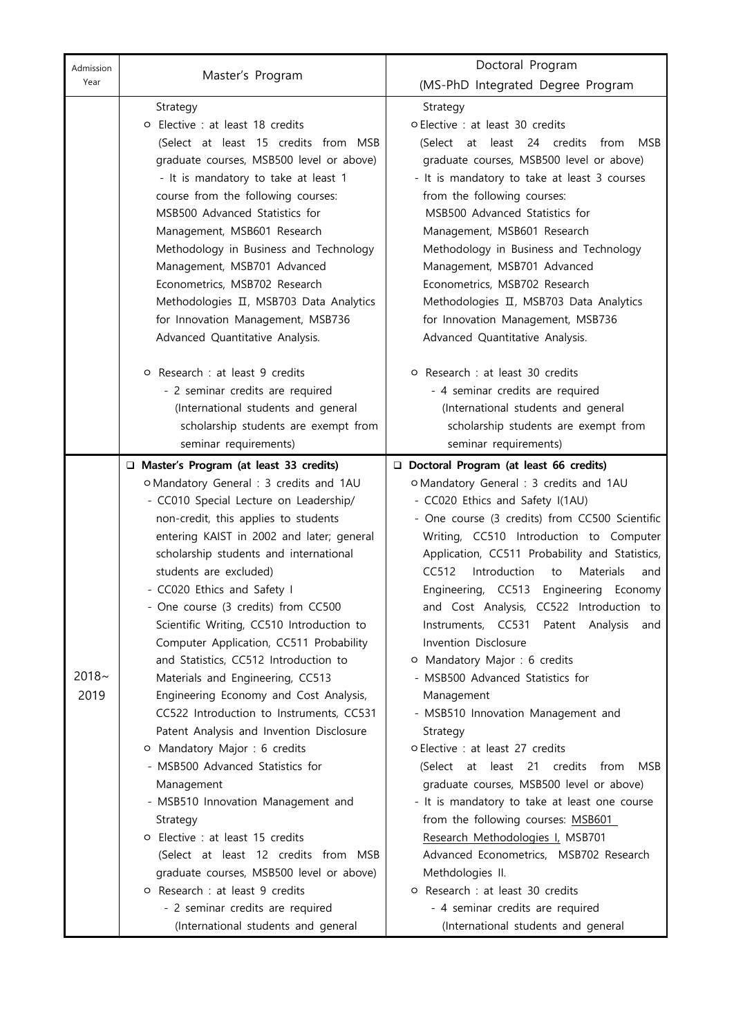| Admission |                                                                                     | Doctoral Program<br>(MS-PhD Integrated Degree Program                              |  |  |  |  |
|-----------|-------------------------------------------------------------------------------------|------------------------------------------------------------------------------------|--|--|--|--|
| Year      | Master's Program                                                                    |                                                                                    |  |  |  |  |
|           | Strategy                                                                            | Strategy                                                                           |  |  |  |  |
|           | o Elective : at least 18 credits                                                    | o Elective : at least 30 credits                                                   |  |  |  |  |
|           | (Select at least 15 credits from MSB                                                | (Select at least 24 credits from<br>MSB                                            |  |  |  |  |
|           | graduate courses, MSB500 level or above)                                            | graduate courses, MSB500 level or above)                                           |  |  |  |  |
|           | - It is mandatory to take at least 1                                                | - It is mandatory to take at least 3 courses                                       |  |  |  |  |
|           | course from the following courses:                                                  | from the following courses:                                                        |  |  |  |  |
|           | MSB500 Advanced Statistics for                                                      | MSB500 Advanced Statistics for                                                     |  |  |  |  |
|           | Management, MSB601 Research                                                         | Management, MSB601 Research                                                        |  |  |  |  |
|           | Methodology in Business and Technology                                              | Methodology in Business and Technology                                             |  |  |  |  |
|           | Management, MSB701 Advanced                                                         | Management, MSB701 Advanced                                                        |  |  |  |  |
|           | Econometrics, MSB702 Research                                                       | Econometrics, MSB702 Research                                                      |  |  |  |  |
|           | Methodologies II, MSB703 Data Analytics                                             | Methodologies II, MSB703 Data Analytics                                            |  |  |  |  |
|           | for Innovation Management, MSB736                                                   | for Innovation Management, MSB736                                                  |  |  |  |  |
|           | Advanced Quantitative Analysis.                                                     | Advanced Quantitative Analysis.                                                    |  |  |  |  |
|           |                                                                                     |                                                                                    |  |  |  |  |
|           | O Research : at least 9 credits                                                     | o Research : at least 30 credits                                                   |  |  |  |  |
|           | - 2 seminar credits are required                                                    | - 4 seminar credits are required                                                   |  |  |  |  |
|           | (International students and general                                                 | (International students and general                                                |  |  |  |  |
|           | scholarship students are exempt from                                                | scholarship students are exempt from                                               |  |  |  |  |
|           | seminar requirements)                                                               | seminar requirements)                                                              |  |  |  |  |
|           |                                                                                     |                                                                                    |  |  |  |  |
|           | □ Master's Program (at least 33 credits)<br>O Mandatory General : 3 credits and 1AU | Doctoral Program (at least 66 credits)<br>O Mandatory General : 3 credits and 1AU  |  |  |  |  |
|           |                                                                                     |                                                                                    |  |  |  |  |
|           | - CC010 Special Lecture on Leadership/                                              | - CC020 Ethics and Safety I(1AU)<br>- One course (3 credits) from CC500 Scientific |  |  |  |  |
|           | non-credit, this applies to students                                                | Writing, CC510 Introduction to Computer                                            |  |  |  |  |
|           | entering KAIST in 2002 and later; general<br>scholarship students and international | Application, CC511 Probability and Statistics,                                     |  |  |  |  |
|           | students are excluded)                                                              | CC512<br>Introduction<br>Materials<br>to<br>and                                    |  |  |  |  |
|           |                                                                                     |                                                                                    |  |  |  |  |
|           | - CC020 Ethics and Safety I                                                         | Engineering, CC513 Engineering Economy<br>and Cost Analysis, CC522 Introduction to |  |  |  |  |
|           | - One course (3 credits) from CC500                                                 | Instruments, CC531 Patent Analysis<br>and                                          |  |  |  |  |
|           | Scientific Writing, CC510 Introduction to                                           | Invention Disclosure                                                               |  |  |  |  |
|           | Computer Application, CC511 Probability                                             |                                                                                    |  |  |  |  |
| $2018 -$  | and Statistics, CC512 Introduction to                                               | O Mandatory Major : 6 credits                                                      |  |  |  |  |
|           | Materials and Engineering, CC513                                                    | - MSB500 Advanced Statistics for                                                   |  |  |  |  |
| 2019      | Engineering Economy and Cost Analysis,                                              | Management                                                                         |  |  |  |  |
|           | CC522 Introduction to Instruments, CC531                                            | - MSB510 Innovation Management and                                                 |  |  |  |  |
|           | Patent Analysis and Invention Disclosure                                            | Strategy                                                                           |  |  |  |  |
|           | O Mandatory Major : 6 credits                                                       | o Elective : at least 27 credits                                                   |  |  |  |  |
|           | - MSB500 Advanced Statistics for                                                    | (Select at least 21 credits from<br>MSB                                            |  |  |  |  |
|           | Management                                                                          | graduate courses, MSB500 level or above)                                           |  |  |  |  |
|           | - MSB510 Innovation Management and                                                  | - It is mandatory to take at least one course                                      |  |  |  |  |
|           | Strategy                                                                            | from the following courses: MSB601                                                 |  |  |  |  |
|           | O Elective : at least 15 credits                                                    | Research Methodologies I, MSB701                                                   |  |  |  |  |
|           | (Select at least 12 credits from MSB                                                | Advanced Econometrics, MSB702 Research                                             |  |  |  |  |
|           | graduate courses, MSB500 level or above)                                            | Methdologies II.                                                                   |  |  |  |  |
|           | O Research : at least 9 credits                                                     | o Research : at least 30 credits                                                   |  |  |  |  |
|           | - 2 seminar credits are required                                                    | - 4 seminar credits are required                                                   |  |  |  |  |
|           | (International students and general                                                 | (International students and general                                                |  |  |  |  |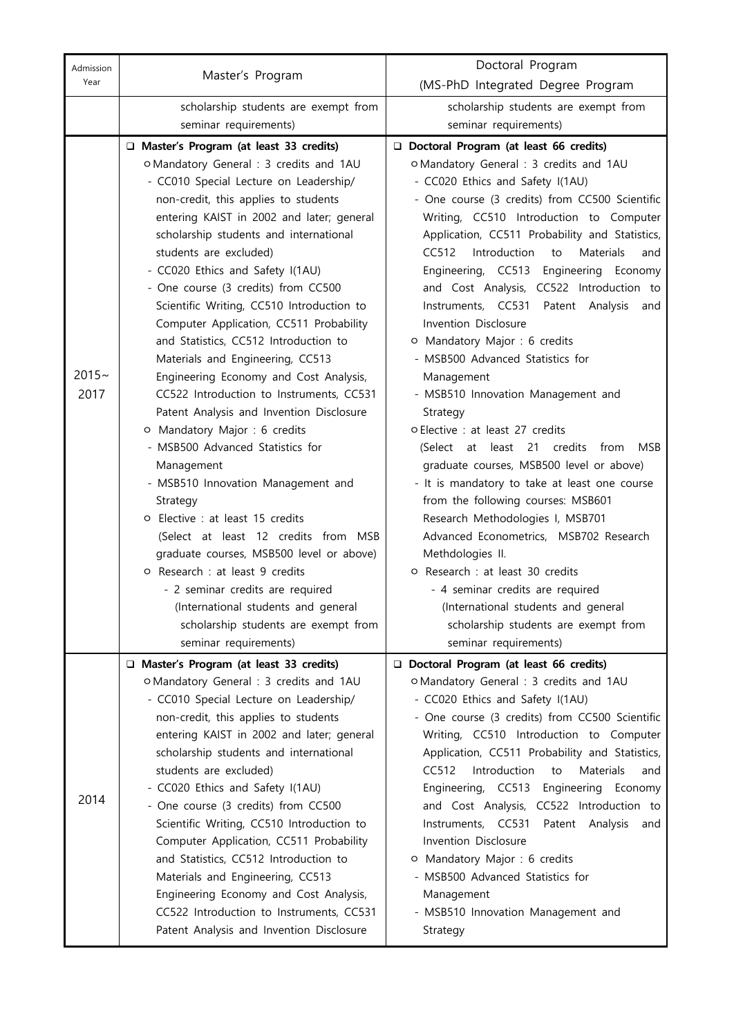| Admission |                                                                                   | Doctoral Program                                                            |  |  |  |  |
|-----------|-----------------------------------------------------------------------------------|-----------------------------------------------------------------------------|--|--|--|--|
| Year      | Master's Program                                                                  | (MS-PhD Integrated Degree Program                                           |  |  |  |  |
|           | scholarship students are exempt from                                              | scholarship students are exempt from                                        |  |  |  |  |
|           | seminar requirements)                                                             | seminar requirements)                                                       |  |  |  |  |
|           | □ Master's Program (at least 33 credits)                                          | Doctoral Program (at least 66 credits)                                      |  |  |  |  |
|           | o Mandatory General : 3 credits and 1AU                                           | o Mandatory General : 3 credits and 1AU                                     |  |  |  |  |
|           | - CC010 Special Lecture on Leadership/                                            | - CC020 Ethics and Safety I(1AU)                                            |  |  |  |  |
|           | non-credit, this applies to students                                              | - One course (3 credits) from CC500 Scientific                              |  |  |  |  |
|           | entering KAIST in 2002 and later; general                                         | Writing, CC510 Introduction to Computer                                     |  |  |  |  |
|           | scholarship students and international                                            | Application, CC511 Probability and Statistics,                              |  |  |  |  |
|           | students are excluded)                                                            | Introduction to<br>CC512<br><b>Materials</b><br>and                         |  |  |  |  |
|           | - CC020 Ethics and Safety I(1AU)                                                  | Engineering, CC513 Engineering Economy                                      |  |  |  |  |
|           | - One course (3 credits) from CC500                                               | and Cost Analysis, CC522 Introduction to                                    |  |  |  |  |
|           | Scientific Writing, CC510 Introduction to                                         | Instruments, CC531 Patent Analysis and                                      |  |  |  |  |
|           | Computer Application, CC511 Probability                                           | Invention Disclosure                                                        |  |  |  |  |
|           | and Statistics, CC512 Introduction to                                             | O Mandatory Major : 6 credits                                               |  |  |  |  |
|           | Materials and Engineering, CC513                                                  | - MSB500 Advanced Statistics for                                            |  |  |  |  |
| $2015 -$  | Engineering Economy and Cost Analysis,                                            | Management                                                                  |  |  |  |  |
| 2017      | CC522 Introduction to Instruments, CC531                                          | - MSB510 Innovation Management and                                          |  |  |  |  |
|           | Patent Analysis and Invention Disclosure                                          | Strategy                                                                    |  |  |  |  |
|           | O Mandatory Major : 6 credits                                                     | o Elective : at least 27 credits                                            |  |  |  |  |
|           | - MSB500 Advanced Statistics for                                                  | (Select at least 21 credits<br>from<br>MSB                                  |  |  |  |  |
|           | Management                                                                        | graduate courses, MSB500 level or above)                                    |  |  |  |  |
|           | - MSB510 Innovation Management and                                                | - It is mandatory to take at least one course                               |  |  |  |  |
|           | Strategy                                                                          | from the following courses: MSB601                                          |  |  |  |  |
|           | O Elective : at least 15 credits                                                  | Research Methodologies I, MSB701                                            |  |  |  |  |
|           | (Select at least 12 credits from MSB                                              | Advanced Econometrics, MSB702 Research                                      |  |  |  |  |
|           | graduate courses, MSB500 level or above)                                          | Methdologies II.                                                            |  |  |  |  |
|           | O Research : at least 9 credits                                                   | o Research : at least 30 credits                                            |  |  |  |  |
|           | - 2 seminar credits are required<br>(International students and general           | - 4 seminar credits are required                                            |  |  |  |  |
|           | scholarship students are exempt from                                              | (International students and general<br>scholarship students are exempt from |  |  |  |  |
|           | seminar requirements)                                                             | seminar requirements)                                                       |  |  |  |  |
|           |                                                                                   |                                                                             |  |  |  |  |
|           | □ Master's Program (at least 33 credits)                                          | Doctoral Program (at least 66 credits)                                      |  |  |  |  |
|           | o Mandatory General : 3 credits and 1AU<br>- CC010 Special Lecture on Leadership/ | o Mandatory General : 3 credits and 1AU<br>- CC020 Ethics and Safety I(1AU) |  |  |  |  |
|           | non-credit, this applies to students                                              | - One course (3 credits) from CC500 Scientific                              |  |  |  |  |
|           | entering KAIST in 2002 and later; general                                         | Writing, CC510 Introduction to Computer                                     |  |  |  |  |
|           | scholarship students and international                                            | Application, CC511 Probability and Statistics,                              |  |  |  |  |
|           | students are excluded)                                                            | CC512<br>Introduction<br><b>Materials</b><br>to<br>and                      |  |  |  |  |
|           | - CC020 Ethics and Safety I(1AU)                                                  | Engineering, CC513 Engineering Economy                                      |  |  |  |  |
| 2014      | - One course (3 credits) from CC500                                               | and Cost Analysis, CC522 Introduction to                                    |  |  |  |  |
|           | Scientific Writing, CC510 Introduction to                                         | Instruments, CC531 Patent Analysis<br>and                                   |  |  |  |  |
|           | Computer Application, CC511 Probability                                           | Invention Disclosure                                                        |  |  |  |  |
|           | and Statistics, CC512 Introduction to                                             | O Mandatory Major : 6 credits                                               |  |  |  |  |
|           | Materials and Engineering, CC513                                                  | - MSB500 Advanced Statistics for                                            |  |  |  |  |
|           | Engineering Economy and Cost Analysis,                                            | Management                                                                  |  |  |  |  |
|           | CC522 Introduction to Instruments, CC531                                          | - MSB510 Innovation Management and                                          |  |  |  |  |
|           | Patent Analysis and Invention Disclosure                                          | Strategy                                                                    |  |  |  |  |
|           |                                                                                   |                                                                             |  |  |  |  |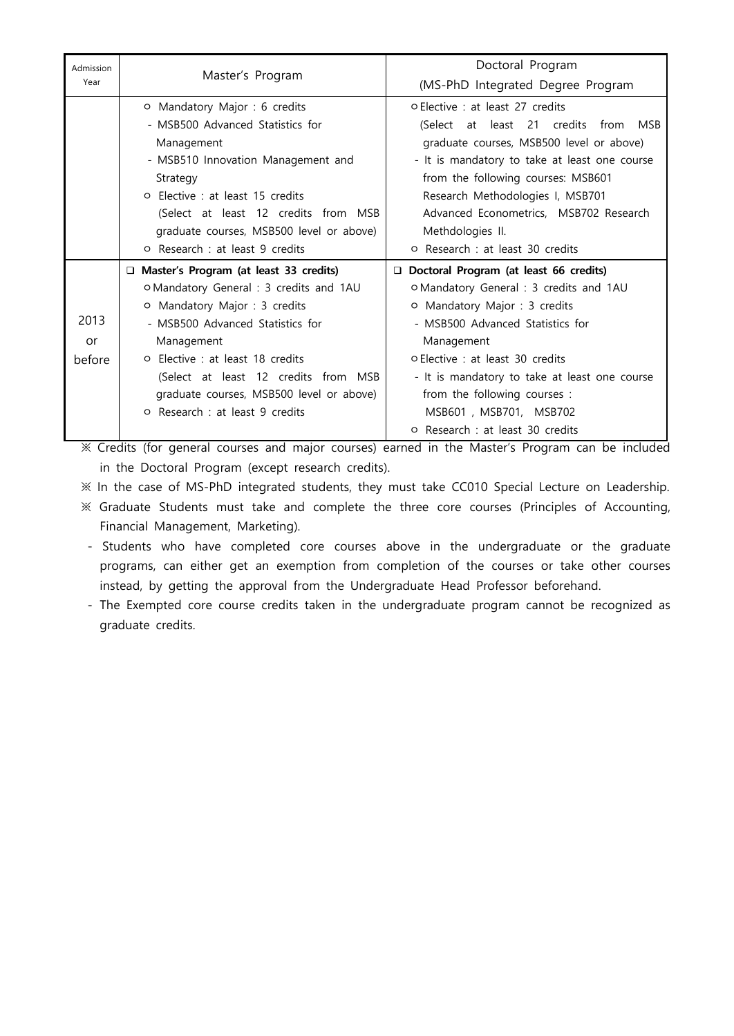| Admission<br>Year | Master's Program                         | Doctoral Program                                                                                                                  |  |  |  |  |  |
|-------------------|------------------------------------------|-----------------------------------------------------------------------------------------------------------------------------------|--|--|--|--|--|
|                   |                                          | (MS-PhD Integrated Degree Program                                                                                                 |  |  |  |  |  |
|                   | O Mandatory Major : 6 credits            | <b>O</b> Elective: at least 27 credits                                                                                            |  |  |  |  |  |
|                   | - MSB500 Advanced Statistics for         | (Select at least 21 credits from MSB<br>graduate courses, MSB500 level or above)<br>- It is mandatory to take at least one course |  |  |  |  |  |
|                   | Management                               |                                                                                                                                   |  |  |  |  |  |
|                   | - MSB510 Innovation Management and       |                                                                                                                                   |  |  |  |  |  |
|                   | Strategy                                 | from the following courses: MSB601                                                                                                |  |  |  |  |  |
|                   | <b>O</b> Elective : at least 15 credits  | Research Methodologies I, MSB701                                                                                                  |  |  |  |  |  |
|                   | (Select at least 12 credits from MSB     | Advanced Econometrics, MSB702 Research                                                                                            |  |  |  |  |  |
|                   | graduate courses, MSB500 level or above) | Methdologies II.                                                                                                                  |  |  |  |  |  |
|                   | O Research : at least 9 credits          | O Research : at least 30 credits                                                                                                  |  |  |  |  |  |
|                   | □ Master's Program (at least 33 credits) | Doctoral Program (at least 66 credits)                                                                                            |  |  |  |  |  |
|                   | O Mandatory General: 3 credits and 1AU   | O Mandatory General : 3 credits and 1AU                                                                                           |  |  |  |  |  |
|                   | O Mandatory Major : 3 credits            | O Mandatory Major : 3 credits                                                                                                     |  |  |  |  |  |
| 2013              | - MSB500 Advanced Statistics for         | - MSB500 Advanced Statistics for                                                                                                  |  |  |  |  |  |
| or                | Management                               | Management                                                                                                                        |  |  |  |  |  |
| <b>before</b>     | <b>O</b> Elective : at least 18 credits  | <b>O</b> Elective: at least 30 credits                                                                                            |  |  |  |  |  |
|                   | (Select at least 12 credits from MSB     | - It is mandatory to take at least one course                                                                                     |  |  |  |  |  |
|                   | graduate courses, MSB500 level or above) | from the following courses :                                                                                                      |  |  |  |  |  |
|                   | <b>O</b> Research : at least 9 credits   | MSB601, MSB701, MSB702                                                                                                            |  |  |  |  |  |
|                   |                                          | o Research : at least 30 credits                                                                                                  |  |  |  |  |  |

※ Credits (for general courses and major courses) earned in the Master's Program can be included

in the Doctoral Program (except research credits).<br>  $\%$  In the case of MS-PhD integrated students, they must take CC010 Special Lecture on Leadership.<br>  $\%$  Graduate Students must take and complete the three core courses

- Financial Management, Marketing).
- Students who have completed core courses above in the undergraduate or the graduate programs, can either get an exemption from completion of the courses or take other courses instead, by getting the approval from the Undergraduate Head Professor beforehand.
- The Exempted core course credits taken in the undergraduate program cannot be recognized as graduate credits.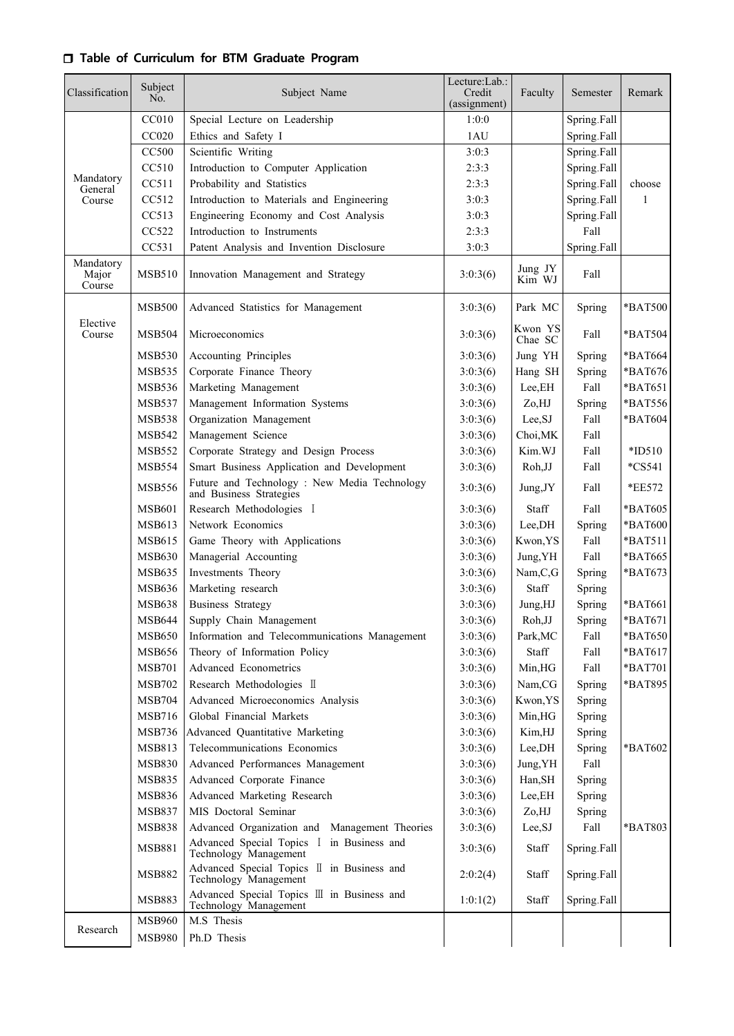## r **Table of Curriculum for BTM Graduate Program**

| Classification               | Subject<br>No. | Subject Name                                                            | Lecture:Lab.:<br>Credit<br>(assignment) | Faculty            | Semester    | Remark    |
|------------------------------|----------------|-------------------------------------------------------------------------|-----------------------------------------|--------------------|-------------|-----------|
|                              | CC010          | Special Lecture on Leadership                                           | 1:0:0                                   |                    | Spring.Fall |           |
|                              | CC020          | Ethics and Safety I                                                     | 1AU                                     |                    | Spring.Fall |           |
|                              | <b>CC500</b>   | Scientific Writing                                                      | 3:0:3                                   |                    | Spring.Fall |           |
|                              | CC510          | Introduction to Computer Application                                    | 2:3:3                                   |                    | Spring.Fall |           |
| Mandatory<br>General         | CC511          | Probability and Statistics                                              | 2:3:3                                   |                    | Spring Fall | choose    |
| Course                       | CC512          | Introduction to Materials and Engineering                               | 3:0:3                                   |                    | Spring Fall | 1         |
|                              | CC513          | Engineering Economy and Cost Analysis                                   | 3:0:3                                   |                    | Spring.Fall |           |
|                              | CC522          | Introduction to Instruments                                             | 2:3:3                                   |                    | Fall        |           |
|                              | CC531          | Patent Analysis and Invention Disclosure                                | 3:0:3                                   |                    | Spring.Fall |           |
| Mandatory<br>Major<br>Course | <b>MSB510</b>  | Innovation Management and Strategy                                      | 3:0:3(6)                                | Jung JY<br>Kim WJ  | Fall        |           |
|                              | <b>MSB500</b>  | Advanced Statistics for Management                                      | 3:0:3(6)                                | Park MC            | Spring      | *BAT500   |
| Elective<br>Course           | <b>MSB504</b>  | Microeconomics                                                          | 3:0:3(6)                                | Kwon YS<br>Chae SC | Fall        | *BAT504   |
|                              | <b>MSB530</b>  | <b>Accounting Principles</b>                                            | 3:0:3(6)                                | Jung YH            | Spring      | *BAT664   |
|                              | <b>MSB535</b>  | Corporate Finance Theory                                                | 3:0:3(6)                                | Hang SH            | Spring      | *BAT676   |
|                              | <b>MSB536</b>  | Marketing Management                                                    | 3:0:3(6)                                | Lee, EH            | Fall        | *BAT651   |
|                              | <b>MSB537</b>  | Management Information Systems                                          | 3:0:3(6)                                | Zo,HJ              | Spring      | *BAT556   |
|                              | <b>MSB538</b>  | Organization Management                                                 | 3:0:3(6)                                | Lee, SJ            | Fall        | *BAT604   |
|                              | <b>MSB542</b>  | Management Science                                                      | 3:0:3(6)                                | Choi, MK           | Fall        |           |
|                              | <b>MSB552</b>  | Corporate Strategy and Design Process                                   | 3:0:3(6)                                | Kim.WJ             | Fall        | $*ID510$  |
|                              | <b>MSB554</b>  | Smart Business Application and Development                              | 3:0:3(6)                                | Roh, JJ            | Fall        | $*$ CS541 |
|                              | <b>MSB556</b>  | Future and Technology : New Media Technology<br>and Business Strategies | 3:0:3(6)                                | Jung, JY           | Fall        | *EE572    |
|                              | <b>MSB601</b>  | Research Methodologies I                                                | 3:0:3(6)                                | Staff              | Fall        | *BAT605   |
|                              | <b>MSB613</b>  | Network Economics                                                       | 3:0:3(6)                                | Lee, DH            | Spring      | *BAT600   |
|                              | <b>MSB615</b>  | Game Theory with Applications                                           | 3:0:3(6)                                | Kwon, YS           | Fall        | *BAT511   |
|                              | <b>MSB630</b>  | Managerial Accounting                                                   | 3:0:3(6)                                | Jung, YH           | Fall        | *BAT665   |
|                              | <b>MSB635</b>  | Investments Theory                                                      | 3:0:3(6)                                | Nam,C,G            | Spring      | *BAT673   |
|                              | MSB636         | Marketing research                                                      | 3:0:3(6)                                | Staff              | Spring      |           |
|                              | <b>MSB638</b>  | <b>Business Strategy</b>                                                | 3:0:3(6)                                | Jung,HJ            | Spring      | *BAT661   |
|                              | MSB644         | Supply Chain Management                                                 | 3:0:3(6)                                | Roh, JJ            | Spring      | *BAT671   |
|                              | <b>MSB650</b>  | Information and Telecommunications Management                           | 3:0:3(6)                                | Park, MC           | Fall        | *BAT650   |
|                              | <b>MSB656</b>  | Theory of Information Policy                                            | 3:0:3(6)                                | Staff              | Fall        | *BAT617   |
|                              | <b>MSB701</b>  | Advanced Econometrics                                                   | 3:0:3(6)                                | Min,HG             | Fall        | *BAT701   |
|                              | <b>MSB702</b>  | Research Methodologies II                                               | 3:0:3(6)                                | Nam,CG             | Spring      | *BAT895   |
|                              | <b>MSB704</b>  | Advanced Microeconomics Analysis                                        | 3:0:3(6)                                | Kwon, YS           | Spring      |           |
|                              | MSB716         | Global Financial Markets                                                | 3:0:3(6)                                | Min, HG            | Spring      |           |
|                              | <b>MSB736</b>  | Advanced Quantitative Marketing                                         | 3:0:3(6)                                | Kim,HJ             | Spring      |           |
|                              | MSB813         | Telecommunications Economics                                            | 3:0:3(6)                                | Lee,DH             | Spring      | *BAT602   |
|                              | <b>MSB830</b>  | Advanced Performances Management                                        | 3:0:3(6)                                | Jung, YH           | Fall        |           |
|                              | <b>MSB835</b>  | Advanced Corporate Finance                                              | 3:0:3(6)                                | Han, SH            | Spring      |           |
|                              | MSB836         | Advanced Marketing Research                                             | 3:0:3(6)                                | Lee, EH            | Spring      |           |
|                              | <b>MSB837</b>  | MIS Doctoral Seminar                                                    | 3:0:3(6)                                | Zo,HJ              | Spring      |           |
|                              | <b>MSB838</b>  | Advanced Organization and Management Theories                           | 3:0:3(6)                                | Lee, SJ            | Fall        | *BAT803   |
|                              | <b>MSB881</b>  | Advanced Special Topics I in Business and<br>Technology Management      | 3:0:3(6)                                | Staff              | Spring.Fall |           |
|                              | <b>MSB882</b>  | Advanced Special Topics II in Business and<br>Technology Management     | 2:0:2(4)                                | Staff              | Spring.Fall |           |
|                              | <b>MSB883</b>  | Advanced Special Topics III in Business and<br>Technology Management    | 1:0:1(2)                                | Staff              | Spring.Fall |           |
|                              | <b>MSB960</b>  | M.S Thesis                                                              |                                         |                    |             |           |
| Research                     | <b>MSB980</b>  | Ph.D Thesis                                                             |                                         |                    |             |           |
|                              |                |                                                                         |                                         |                    |             |           |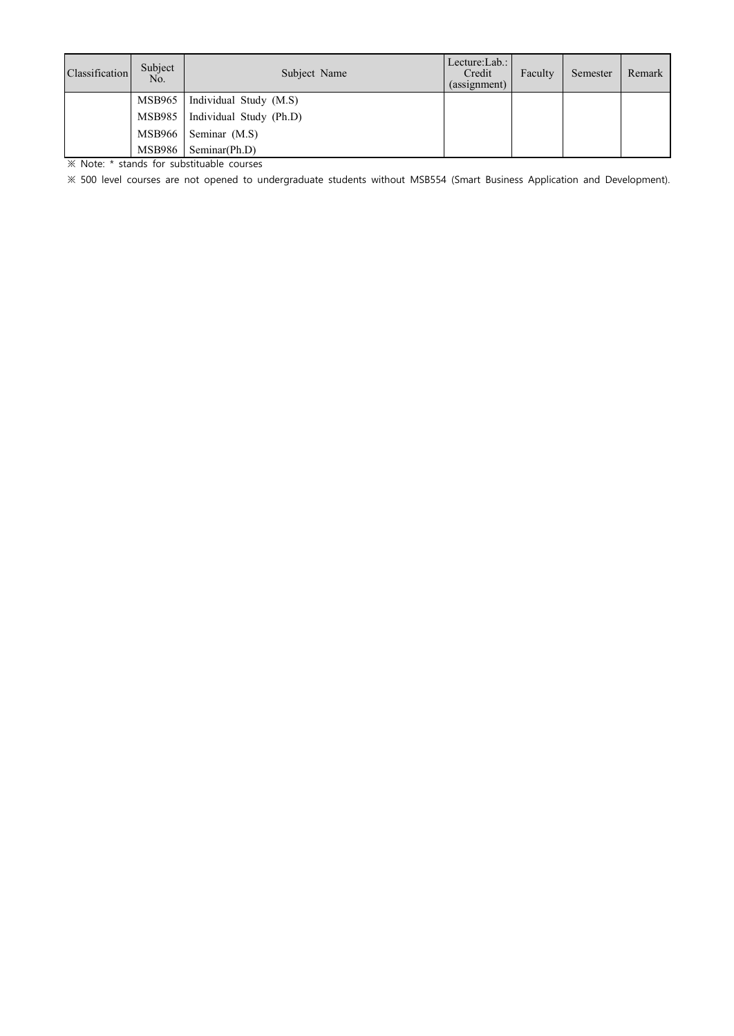| Classification | Subject<br>No. | Subject Name            | Lecture:Lab.:<br>Credit<br>(assignment) | Faculty | Semester | Remark |
|----------------|----------------|-------------------------|-----------------------------------------|---------|----------|--------|
|                | MSB965         | Individual Study (M.S)  |                                         |         |          |        |
|                | MSB985         | Individual Study (Ph.D) |                                         |         |          |        |
|                | MSB966         | Seminar (M.S)           |                                         |         |          |        |
|                | MSB986         | Seminar(Ph.D)           |                                         |         |          |        |

※ Note: \* stands for substituable courses

※ 500 level courses are not opened to undergraduate students without MSB554 (Smart Business Application and Development).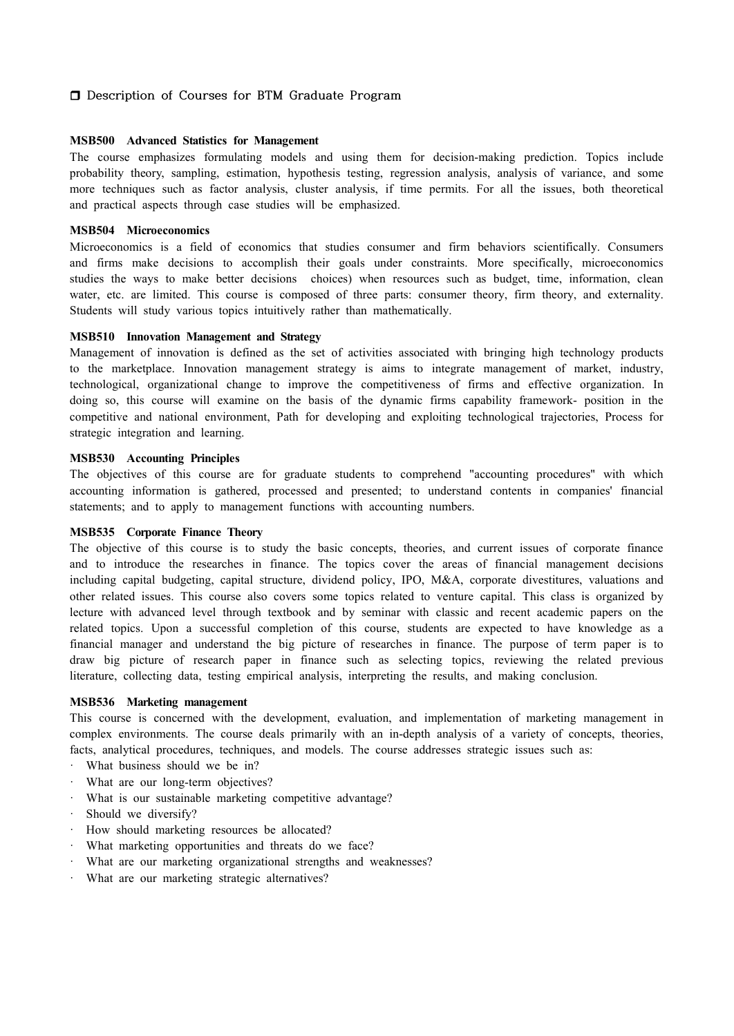## $\Box$  Description of Courses for BTM Graduate Program

#### **MSB500 Advanced Statistics for Management**

The course emphasizes formulating models and using them for decision-making prediction. Topics include probability theory, sampling, estimation, hypothesis testing, regression analysis, analysis of variance, and some more techniques such as factor analysis, cluster analysis, if time permits. For all the issues, both theoretical and practical aspects through case studies will be emphasized.

#### **MSB504 Microeconomics**

Microeconomics is a field of economics that studies consumer and firm behaviors scientifically. Consumers and firms make decisions to accomplish their goals under constraints. More specifically, microeconomics studies the ways to make better decisions choices) when resources such as budget, time, information, clean water, etc. are limited. This course is composed of three parts: consumer theory, firm theory, and externality. Students will study various topics intuitively rather than mathematically.

#### **MSB510 Innovation Management and Strategy**

Management of innovation is defined as the set of activities associated with bringing high technology products to the marketplace. Innovation management strategy is aims to integrate management of market, industry, technological, organizational change to improve the competitiveness of firms and effective organization. In doing so, this course will examine on the basis of the dynamic firms capability framework- position in the competitive and national environment, Path for developing and exploiting technological trajectories, Process for strategic integration and learning.

## **MSB530 Accounting Principles**

The objectives of this course are for graduate students to comprehend "accounting procedures" with which accounting information is gathered, processed and presented; to understand contents in companies' financial statements; and to apply to management functions with accounting numbers.

#### **MSB535 Corporate Finance Theory**

The objective of this course is to study the basic concepts, theories, and current issues of corporate finance and to introduce the researches in finance. The topics cover the areas of financial management decisions including capital budgeting, capital structure, dividend policy, IPO, M&A, corporate divestitures, valuations and other related issues. This course also covers some topics related to venture capital. This class is organized by lecture with advanced level through textbook and by seminar with classic and recent academic papers on the related topics. Upon a successful completion of this course, students are expected to have knowledge as a financial manager and understand the big picture of researches in finance. The purpose of term paper is to draw big picture of research paper in finance such as selecting topics, reviewing the related previous literature, collecting data, testing empirical analysis, interpreting the results, and making conclusion.

## **MSB536 Marketing management**

This course is concerned with the development, evaluation, and implementation of marketing management in complex environments. The course deals primarily with an in-depth analysis of a variety of concepts, theories, facts, analytical procedures, techniques, and models. The course addresses strategic issues such as:

- What business should we be in?
- What are our long-term objectives?
- · What is our sustainable marketing competitive advantage?
- Should we diversify?
- · How should marketing resources be allocated?
- · What marketing opportunities and threats do we face?
- What are our marketing organizational strengths and weaknesses?
- What are our marketing strategic alternatives?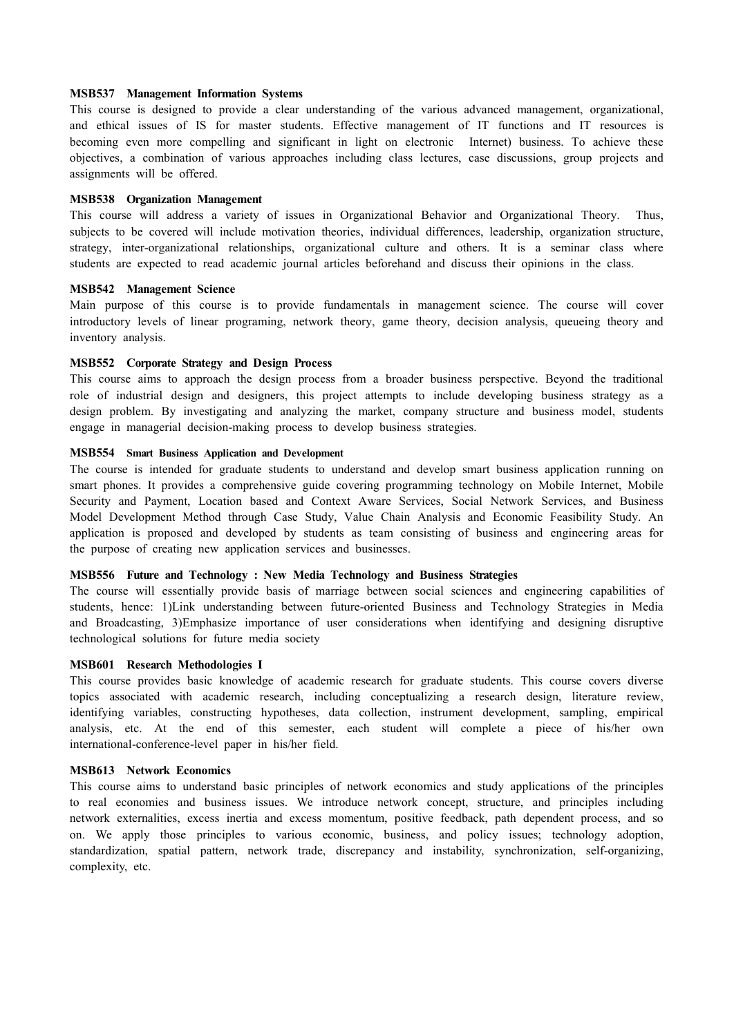#### **MSB537 Management Information Systems**

This course is designed to provide a clear understanding of the various advanced management, organizational, and ethical issues of IS for master students. Effective management of IT functions and IT resources is becoming even more compelling and significant in light on electronic Internet) business. To achieve these objectives, a combination of various approaches including class lectures, case discussions, group projects and assignments will be offered.

#### **MSB538 Organization Management**

This course will address a variety of issues in Organizational Behavior and Organizational Theory. Thus, subjects to be covered will include motivation theories, individual differences, leadership, organization structure, strategy, inter-organizational relationships, organizational culture and others. It is a seminar class where students are expected to read academic journal articles beforehand and discuss their opinions in the class.

#### **MSB542 Management Science**

Main purpose of this course is to provide fundamentals in management science. The course will cover introductory levels of linear programing, network theory, game theory, decision analysis, queueing theory and inventory analysis.

#### **MSB552 Corporate Strategy and Design Process**

This course aims to approach the design process from a broader business perspective. Beyond the traditional role of industrial design and designers, this project attempts to include developing business strategy as a design problem. By investigating and analyzing the market, company structure and business model, students engage in managerial decision-making process to develop business strategies.

#### **MSB554 Smart Business Application and Development**

The course is intended for graduate students to understand and develop smart business application running on smart phones. It provides a comprehensive guide covering programming technology on Mobile Internet, Mobile Security and Payment, Location based and Context Aware Services, Social Network Services, and Business Model Development Method through Case Study, Value Chain Analysis and Economic Feasibility Study. An application is proposed and developed by students as team consisting of business and engineering areas for the purpose of creating new application services and businesses.

#### **MSB556 Future and Technology : New Media Technology and Business Strategies**

The course will essentially provide basis of marriage between social sciences and engineering capabilities of students, hence: 1)Link understanding between future-oriented Business and Technology Strategies in Media and Broadcasting, 3)Emphasize importance of user considerations when identifying and designing disruptive technological solutions for future media society

## **MSB601 Research Methodologies I**

This course provides basic knowledge of academic research for graduate students. This course covers diverse topics associated with academic research, including conceptualizing a research design, literature review, identifying variables, constructing hypotheses, data collection, instrument development, sampling, empirical analysis, etc. At the end of this semester, each student will complete a piece of his/her own international-conference-level paper in his/her field.

## **MSB613 Network Economics**

This course aims to understand basic principles of network economics and study applications of the principles to real economies and business issues. We introduce network concept, structure, and principles including network externalities, excess inertia and excess momentum, positive feedback, path dependent process, and so on. We apply those principles to various economic, business, and policy issues; technology adoption, standardization, spatial pattern, network trade, discrepancy and instability, synchronization, self-organizing, complexity, etc.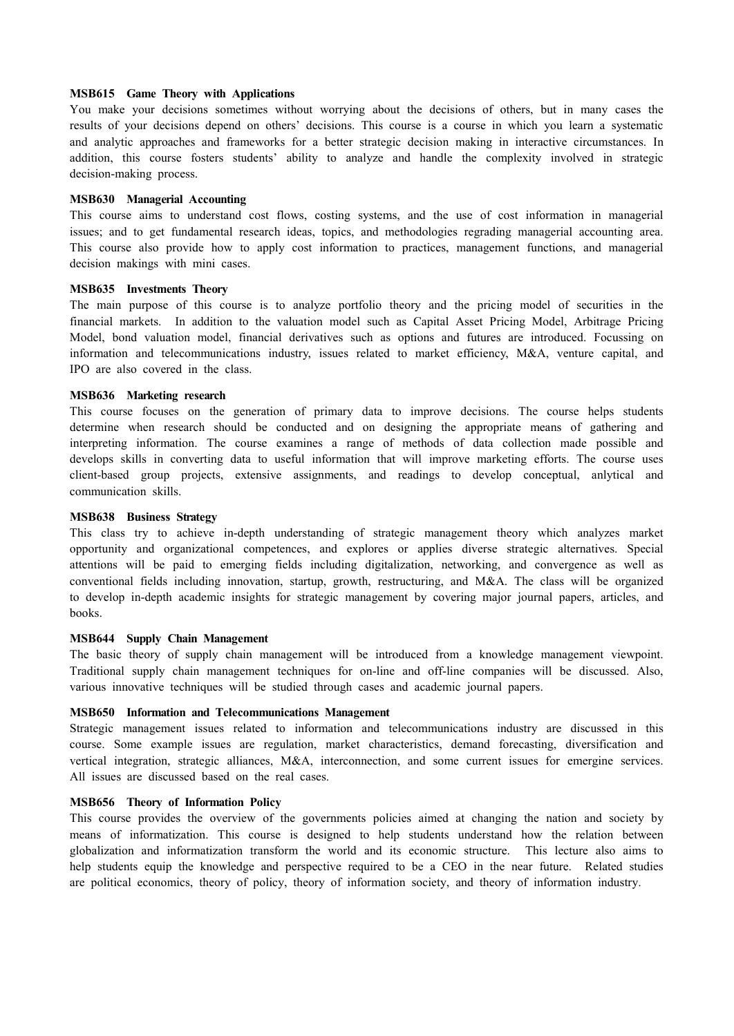#### **MSB615 Game Theory with Applications**

You make your decisions sometimes without worrying about the decisions of others, but in many cases the results of your decisions depend on others' decisions. This course is a course in which you learn a systematic and analytic approaches and frameworks for a better strategic decision making in interactive circumstances. In addition, this course fosters students' ability to analyze and handle the complexity involved in strategic decision-making process.

#### **MSB630 Managerial Accounting**

This course aims to understand cost flows, costing systems, and the use of cost information in managerial issues; and to get fundamental research ideas, topics, and methodologies regrading managerial accounting area. This course also provide how to apply cost information to practices, management functions, and managerial decision makings with mini cases.

#### **MSB635 Investments Theory**

The main purpose of this course is to analyze portfolio theory and the pricing model of securities in the financial markets. In addition to the valuation model such as Capital Asset Pricing Model, Arbitrage Pricing Model, bond valuation model, financial derivatives such as options and futures are introduced. Focussing on information and telecommunications industry, issues related to market efficiency, M&A, venture capital, and IPO are also covered in the class.

## **MSB636 Marketing research**

This course focuses on the generation of primary data to improve decisions. The course helps students determine when research should be conducted and on designing the appropriate means of gathering and interpreting information. The course examines a range of methods of data collection made possible and develops skills in converting data to useful information that will improve marketing efforts. The course uses client-based group projects, extensive assignments, and readings to develop conceptual, anlytical and communication skills.

#### **MSB638 Business Strategy**

This class try to achieve in-depth understanding of strategic management theory which analyzes market opportunity and organizational competences, and explores or applies diverse strategic alternatives. Special attentions will be paid to emerging fields including digitalization, networking, and convergence as well as conventional fields including innovation, startup, growth, restructuring, and M&A. The class will be organized to develop in-depth academic insights for strategic management by covering major journal papers, articles, and books.

#### **MSB644 Supply Chain Management**

The basic theory of supply chain management will be introduced from a knowledge management viewpoint. Traditional supply chain management techniques for on-line and off-line companies will be discussed. Also, various innovative techniques will be studied through cases and academic journal papers.

## **MSB650 Information and Telecommunications Management**

Strategic management issues related to information and telecommunications industry are discussed in this course. Some example issues are regulation, market characteristics, demand forecasting, diversification and vertical integration, strategic alliances, M&A, interconnection, and some current issues for emergine services. All issues are discussed based on the real cases.

#### **MSB656 Theory of Information Policy**

This course provides the overview of the governments policies aimed at changing the nation and society by means of informatization. This course is designed to help students understand how the relation between globalization and informatization transform the world and its economic structure. This lecture also aims to help students equip the knowledge and perspective required to be a CEO in the near future. Related studies are political economics, theory of policy, theory of information society, and theory of information industry.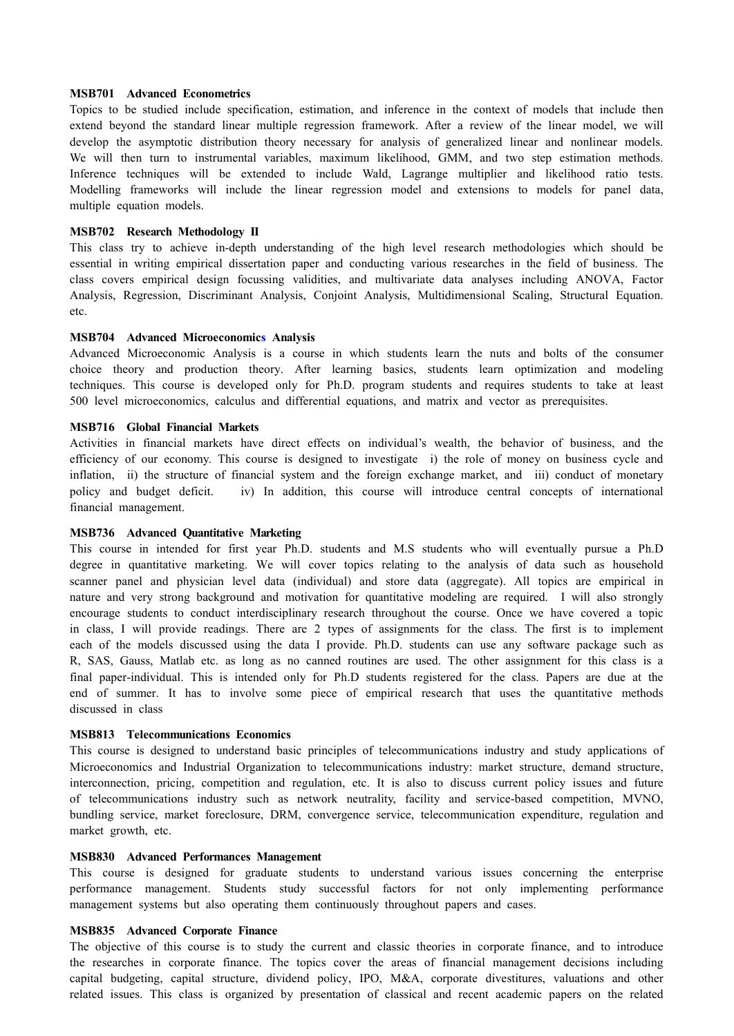#### **MSB701 Advanced Econometrics**

Topics to be studied include specification, estimation, and inference in the context of models that include then extend beyond the standard linear multiple regression framework. After a review of the linear model, we will develop the asymptotic distribution theory necessary for analysis of generalized linear and nonlinear models. We will then turn to instrumental variables, maximum likelihood, GMM, and two step estimation methods. Inference techniques will be extended to include Wald, Lagrange multiplier and likelihood ratio tests. Modelling frameworks will include the linear regression model and extensions to models for panel data, multiple equation models.

## **MSB702 Research Methodology II**

This class try to achieve in-depth understanding of the high level research methodologies which should be essential in writing empirical dissertation paper and conducting various researches in the field of business. The class covers empirical design focussing validities, and multivariate data analyses including ANOVA, Factor Analysis, Regression, Discriminant Analysis, Conjoint Analysis, Multidimensional Scaling, Structural Equation. etc.

## **MSB704 Advanced Microeconomics Analysis**

Advanced Microeconomic Analysis is a course in which students learn the nuts and bolts of the consumer choice theory and production theory. After learning basics, students learn optimization and modeling techniques. This course is developed only for Ph.D. program students and requires students to take at least 500 level microeconomics, calculus and differential equations, and matrix and vector as prerequisites.

#### **MSB716 Global Financial Markets**

Activities in financial markets have direct effects on individual's wealth, the behavior of business, and the efficiency of our economy. This course is designed to investigate i) the role of money on business cycle and inflation, ii) the structure of financial system and the foreign exchange market, and iii) conduct of monetary policy and budget deficit. iv) In addition, this course will introduce central concepts of international financial management.

#### **MSB736 Advanced Quantitative Marketing**

This course in intended for first year Ph.D. students and M.S students who will eventually pursue a Ph.D degree in quantitative marketing. We will cover topics relating to the analysis of data such as household scanner panel and physician level data (individual) and store data (aggregate). All topics are empirical in nature and very strong background and motivation for quantitative modeling are required. I will also strongly encourage students to conduct interdisciplinary research throughout the course. Once we have covered a topic in class, I will provide readings. There are 2 types of assignments for the class. The first is to implement each of the models discussed using the data I provide. Ph.D. students can use any software package such as R, SAS, Gauss, Matlab etc. as long as no canned routines are used. The other assignment for this class is a final paper-individual. This is intended only for Ph.D students registered for the class. Papers are due at the end of summer. It has to involve some piece of empirical research that uses the quantitative methods discussed in class

#### **MSB813 Telecommunications Economics**

This course is designed to understand basic principles of telecommunications industry and study applications of Microeconomics and Industrial Organization to telecommunications industry: market structure, demand structure, interconnection, pricing, competition and regulation, etc. It is also to discuss current policy issues and future of telecommunications industry such as network neutrality, facility and service-based competition, MVNO, bundling service, market foreclosure, DRM, convergence service, telecommunication expenditure, regulation and market growth, etc.

## **MSB830 Advanced Performances Management**

This course is designed for graduate students to understand various issues concerning the enterprise performance management. Students study successful factors for not only implementing performance management systems but also operating them continuously throughout papers and cases.

#### **MSB835 Advanced Corporate Finance**

The objective of this course is to study the current and classic theories in corporate finance, and to introduce the researches in corporate finance. The topics cover the areas of financial management decisions including capital budgeting, capital structure, dividend policy, IPO, M&A, corporate divestitures, valuations and other related issues. This class is organized by presentation of classical and recent academic papers on the related